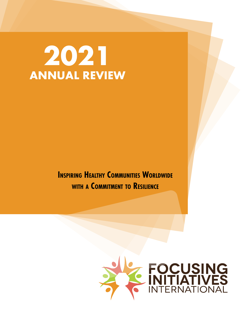## **2021 ANNUAL REVIEW**

**INSPIRING HEALTHY COMMUNITIES WORLDWIDE with a Commitment to Resilience**

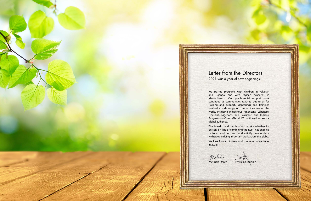We started programs with children in Pakistan and Uganda, and with Afghan evacuees in Massachusetts. Our psychosocial support work continued as communities reached out to us for training and support. Mentorings and trainings reached a wide range of communities around the world, including Indigenous Americans, Lebanese, Liberians, Nigerians, and Pakistanis and Indians. Programs on CoronaPlaza.LIFE continued to reach a global audience.

The breadth and depth of our work - whether inperson, on-line or combining the two - has enabled us to expand our reach and solidify relationships with people doing important work across the globe.

We look forward to new and continued adventures

Melinda Darer Patricia Omidian

in 2022!

mehr

#### Letter from the Directors 2021 was a year of new beginnings!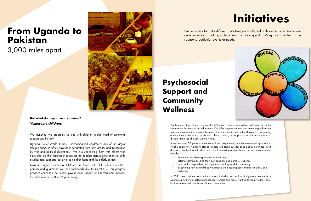## **From Uganda to Pakistan**

3,000 miles apart



**But what do they have in common? Vulnerable children.**

We launched two programs working with children in dire need of emotional support and literacy.

Uganda: Better World 4 Kids: Unaccompanied children at one of the largest refugee camps in Africa have been separated from their families and traumatized by war and political disruptions. We are connecting them with elders who have also lost their families in a project that reaches across generations to build psychosocial supports that give the children hope and the elderly solace.

Pakistan: Brighter Tomorrow: Children are forced into child labor when their parents and guardians lost their livelihoods due to COVID-19. This program provides education, hot meals, psychosocial support and recreational activities for child laborers of 8 to 12 years of age.

# **Initiatives**



Our activities fall into different initiatives, each aligned with our mission. Some are quite universal in nature, while others are more specific. Many are launched in response to particular events or needs.

## **Psychosocial Support and Community Wellness**

Psychosocial Support and Community Wellness is one of our oldest Initiatives and is the cornerstone for much of our other work. We offer support, training and mentoring to front-line workers in communities stressed because of war, epidemics, and other disasters. By respecting each unique situation in its particular cultural context, our approach enables communities to discover their specific right way forward.

Based on over 30 years of international field experience, our heart-centered approach to Psychological First Aid (PFA) blends self-care with techniques for engaging communities in selfdiscovery that lead to individual and collective healing and resilience. Important components include:

- deepening the listening process at each step
- helping communities find their own solutions and paths to resilience
- self-care for responders and supervisors as they work in community
- discovering how a mind/body technique like Focusing can enhance empathy and resilience

In 2021, we continued our online courses, including two with an indigenous community in Minnesota. Others targeted humanitarian workers and those wanting to learn wellness tools for themselves, their families and their communities.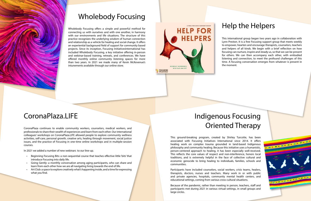## Indigenous Focusing Oriented Therapy

This ground-breaking program, created by Shirley Turcotte, has been associated with Focusing Initiatives International since 2014. It offers healing work on complex trauma grounded in land-based Indigenous philosophy and community healing. Because this initiative uses a humanistic, person-centered approach to healing, it has been especially well-received. This reflects the core values of respect and non-interference, honors local traditions, and is extremely helpful in the face of collective cultural and economic genocide to bring healing to individuals, families, schools and communities.

Participants have included counselors, social workers, crisis teams, healers, therapists, doctors, nurses and teachers. Many work in or with public and private agencies, hospitals, community mental health centers, and educational settings, coming from various cross-cultural situations.

Because of the pandemic, rather than meeting in person, teachers, staff and participants met during 2021 in various virtual settings, in small groups and large circles.



#### Wholebody Focusing

Wholebody Focusing offers a simple and powerful method for connecting us with ourselves and with one another, in harmony with our environments and life situations. The structure of this practice recognizes the underlying wisdom of human connection and relationship as a vehicle for healing and social change. It offers an experiential background field of support for community based projects. Since its inception, Focusing InitiativesInternational has included Wholebody Focusing, a key initiative offering in-person and webinar-based training, retreats, and conferences. We have offered monthly online community listening spaces for more than two years. In 2021 we made many of Kevin McKevenue's intunements available through our online store.



### CoronaPlaza.LIFE

CoronaPlaza continues to enable community workers, counselors, medical workers, and professionals to share their wealth of experiences and learn from each other. Our international colleagues' workshops on CoronaPlaza.LIFE allowed people to explore community wellness activities, self-care, personal growth, creative arts, healing through movement, social justice issues, and the practice of Focusing in one-time online workshops and in multiple-session courses.

In 2021 we added a number of new webinars to our line-up.

- Beginning Focusing Bits: a non-sequential course that teaches effective little 'bits' that introduce Focusing into daily life.
- Going Gently: a monthly conversation among aging participants, who can share and learn from each other how we are all navigating living towards the end of life.
- Art Club: a space to explore creatively what's happening inside, and a time for expressing what you find.

### Help the Helpers

This international group began two years ago in collaboration with Lynn Preston. It is a free Focusing support group that meets weekly to empower, hearten and encourage therapists, counselors, teachers and helpers of all kinds. We begin with a brief reflection on how focusing can nurture, inspire and steady us, so that we can be present for others. We can then accompany each other, with embodied listening and connection, to meet the profound challenges of this time. A focusing conversation emerges from whatever is present in the moment.